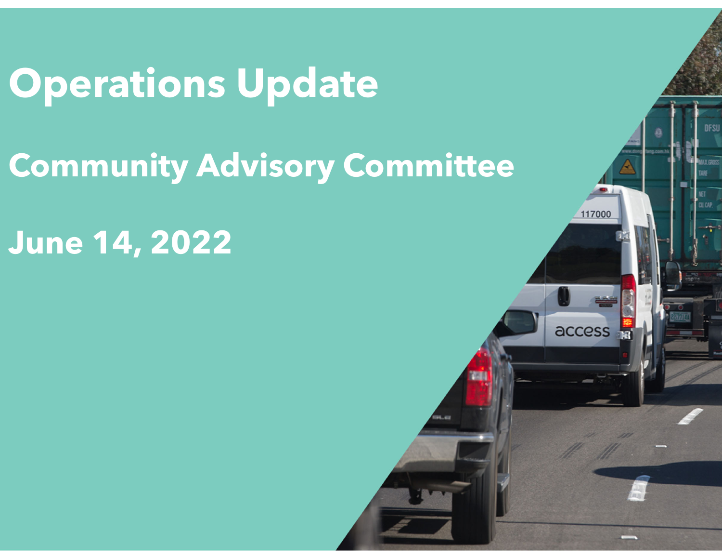# **Operations Update**

## **Community Advisory Committee**

### **June 14, 2022**

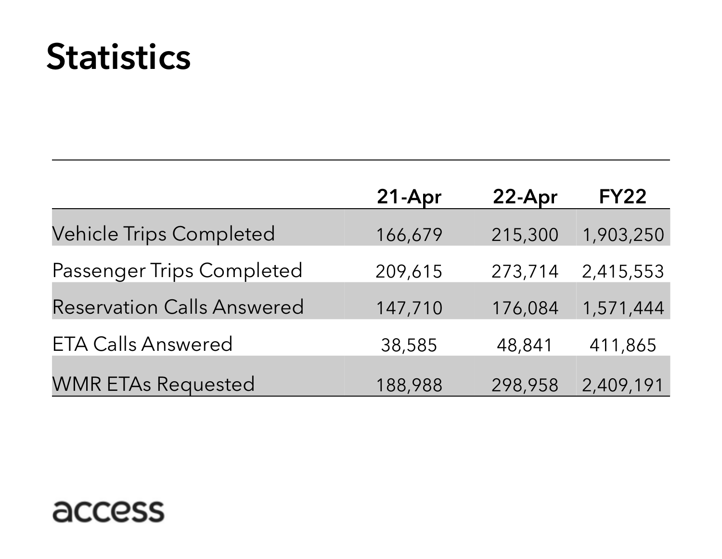## **Statistics**

|                                   | 21-Apr  | 22-Apr  | <b>FY22</b> |
|-----------------------------------|---------|---------|-------------|
| <b>Vehicle Trips Completed</b>    | 166,679 | 215,300 | 1,903,250   |
| <b>Passenger Trips Completed</b>  | 209,615 | 273,714 | 2,415,553   |
| <b>Reservation Calls Answered</b> | 147,710 | 176,084 | 1,571,444   |
| <b>ETA Calls Answered</b>         | 38,585  | 48,841  | 411,865     |
| <b>WMR ETAs Requested</b>         | 188,988 | 298,958 | 2,409,191   |

#### access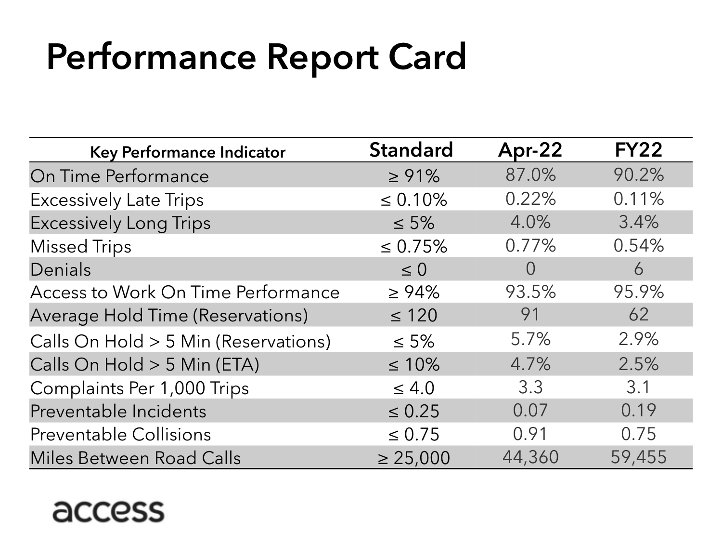# Performance Report Card

| Key Performance Indicator               | <b>Standard</b> | Apr-22           | <b>FY22</b> |
|-----------------------------------------|-----------------|------------------|-------------|
| On Time Performance                     | $\ge 91\%$      | 87.0%            | 90.2%       |
| <b>Excessively Late Trips</b>           | $\leq 0.10\%$   | 0.22%            | 0.11%       |
| <b>Excessively Long Trips</b>           | $\leq 5\%$      | 4.0%             | 3.4%        |
| <b>Missed Trips</b>                     | $\leq 0.75\%$   | 0.77%            | 0.54%       |
| Denials                                 | $\leq 0$        | $\left( \right)$ | 6           |
| Access to Work On Time Performance      | $\geq 94\%$     | 93.5%            | 95.9%       |
| <b>Average Hold Time (Reservations)</b> | $\leq 120$      | 91               | 62          |
| Calls On Hold > 5 Min (Reservations)    | $\leq 5\%$      | 5.7%             | 2.9%        |
| Calls On Hold > 5 Min (ETA)             | $\leq 10\%$     | 4.7%             | 2.5%        |
| Complaints Per 1,000 Trips              | $\leq 4.0$      | 3.3              | 3.1         |
| Preventable Incidents                   | $\leq 0.25$     | 0.07             | 0.19        |
| <b>Preventable Collisions</b>           | $\leq 0.75$     | 0.91             | 0.75        |
| <b>Miles Between Road Calls</b>         | $\geq 25,000$   | 44,360           | 59,455      |

#### access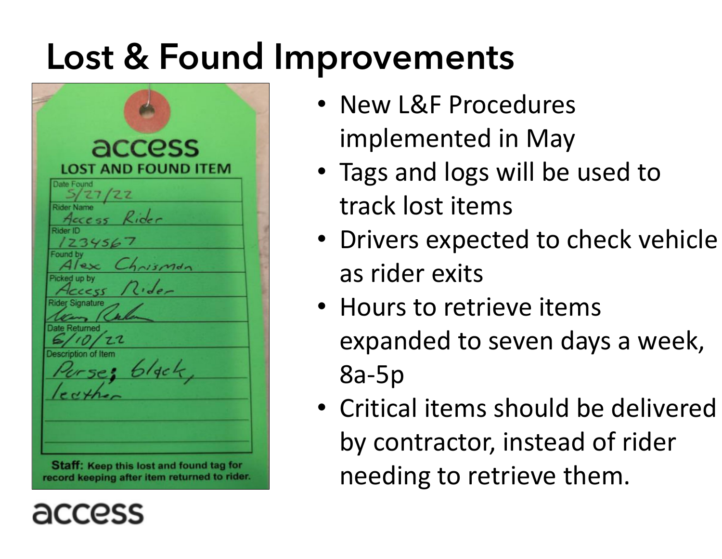## Lost & Found Improvements

| access              |                            |  |
|---------------------|----------------------------|--|
|                     | <b>LOST AND FOUND ITEM</b> |  |
| <b>Date Found</b>   |                            |  |
| $\frac{5/27}{22}$   |                            |  |
| Access Rider        |                            |  |
| Rider ID            |                            |  |
| 1234567             |                            |  |
| Found by            |                            |  |
|                     | Alex Chrisman              |  |
| Picked up by        | Access Rider               |  |
| Rider Signature     |                            |  |
| , Re                |                            |  |
| Date Returned       |                            |  |
| 6/10/22             |                            |  |
| Description of Item |                            |  |
|                     | Purse; black,              |  |
|                     |                            |  |
|                     |                            |  |
|                     |                            |  |
|                     |                            |  |
|                     |                            |  |

- New L&F Procedures implemented in May
- Tags and logs will be used to track lost items
- Drivers expected to check vehicle as rider exits
- Hours to retrieve items expanded to seven days a week, 8a-5p
- Critical items should be delivered by contractor, instead of rider needing to retrieve them.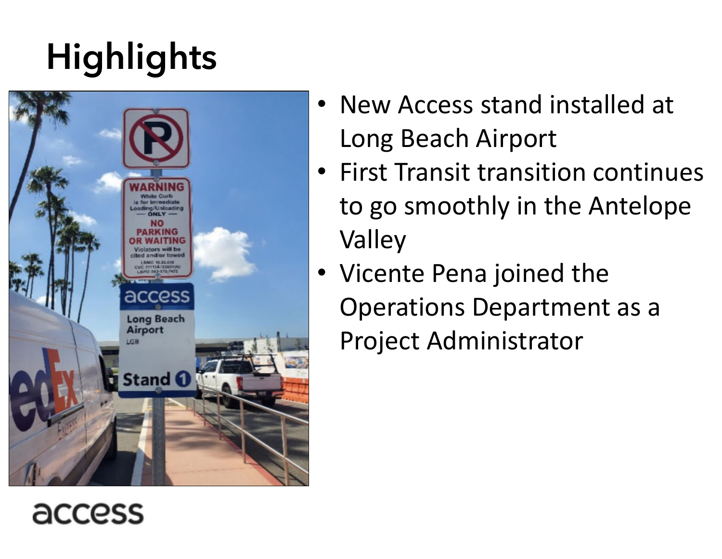# **Highlights**



- New Access stand installed at Long Beach Airport
- First Transit transition continues to go smoothly in the Antelope Valley
- Vicente Pena joined the Operations Department as a Project Administrator

#### access